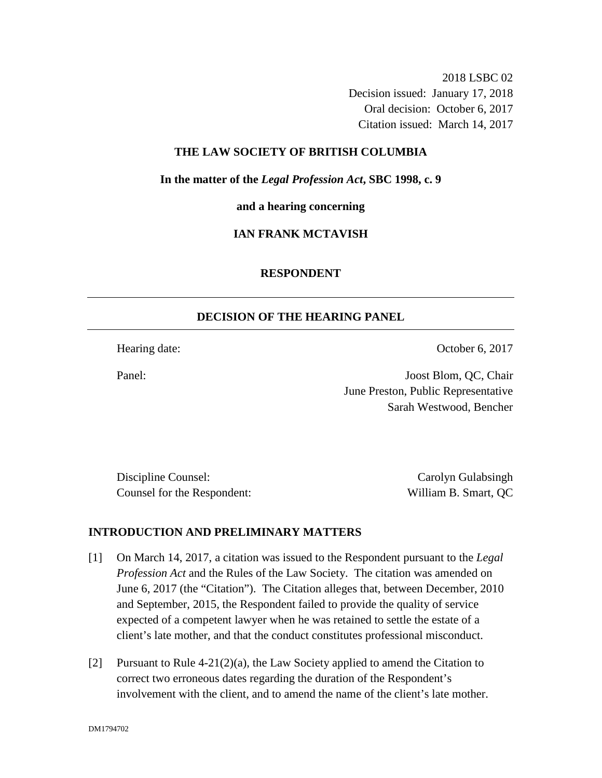2018 LSBC 02 Decision issued: January 17, 2018 Oral decision: October 6, 2017 Citation issued: March 14, 2017

## **THE LAW SOCIETY OF BRITISH COLUMBIA**

**In the matter of the** *Legal Profession Act***, SBC 1998, c. 9** 

**and a hearing concerning**

# **IAN FRANK MCTAVISH**

### **RESPONDENT**

### **DECISION OF THE HEARING PANEL**

Hearing date: October 6, 2017

Panel: Joost Blom, QC, Chair June Preston, Public Representative Sarah Westwood, Bencher

Discipline Counsel: Carolyn Gulabsingh Carolyn Gulabsingh Counsel for the Respondent: William B. Smart, QC

### **INTRODUCTION AND PRELIMINARY MATTERS**

- [1] On March 14, 2017, a citation was issued to the Respondent pursuant to the *Legal Profession Act* and the Rules of the Law Society. The citation was amended on June 6, 2017 (the "Citation"). The Citation alleges that, between December, 2010 and September, 2015, the Respondent failed to provide the quality of service expected of a competent lawyer when he was retained to settle the estate of a client's late mother, and that the conduct constitutes professional misconduct.
- [2] Pursuant to Rule  $4-21(2)(a)$ , the Law Society applied to amend the Citation to correct two erroneous dates regarding the duration of the Respondent's involvement with the client, and to amend the name of the client's late mother.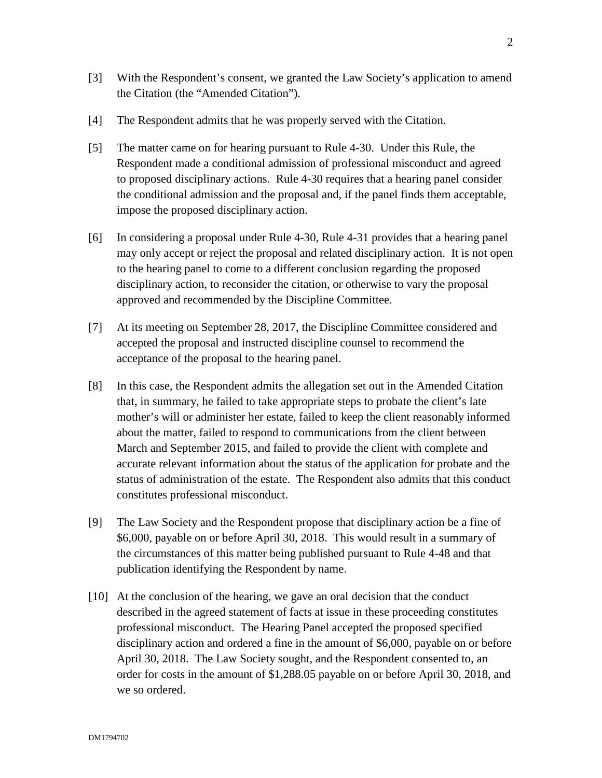- [3] With the Respondent's consent, we granted the Law Society's application to amend the Citation (the "Amended Citation").
- [4] The Respondent admits that he was properly served with the Citation.
- [5] The matter came on for hearing pursuant to Rule 4-30. Under this Rule, the Respondent made a conditional admission of professional misconduct and agreed to proposed disciplinary actions. Rule 4-30 requires that a hearing panel consider the conditional admission and the proposal and, if the panel finds them acceptable, impose the proposed disciplinary action.
- [6] In considering a proposal under Rule 4-30, Rule 4-31 provides that a hearing panel may only accept or reject the proposal and related disciplinary action. It is not open to the hearing panel to come to a different conclusion regarding the proposed disciplinary action, to reconsider the citation, or otherwise to vary the proposal approved and recommended by the Discipline Committee.
- [7] At its meeting on September 28, 2017, the Discipline Committee considered and accepted the proposal and instructed discipline counsel to recommend the acceptance of the proposal to the hearing panel.
- [8] In this case, the Respondent admits the allegation set out in the Amended Citation that, in summary, he failed to take appropriate steps to probate the client's late mother's will or administer her estate, failed to keep the client reasonably informed about the matter, failed to respond to communications from the client between March and September 2015, and failed to provide the client with complete and accurate relevant information about the status of the application for probate and the status of administration of the estate. The Respondent also admits that this conduct constitutes professional misconduct.
- [9] The Law Society and the Respondent propose that disciplinary action be a fine of \$6,000, payable on or before April 30, 2018. This would result in a summary of the circumstances of this matter being published pursuant to Rule 4-48 and that publication identifying the Respondent by name.
- [10] At the conclusion of the hearing, we gave an oral decision that the conduct described in the agreed statement of facts at issue in these proceeding constitutes professional misconduct. The Hearing Panel accepted the proposed specified disciplinary action and ordered a fine in the amount of \$6,000, payable on or before April 30, 2018. The Law Society sought, and the Respondent consented to, an order for costs in the amount of \$1,288.05 payable on or before April 30, 2018, and we so ordered.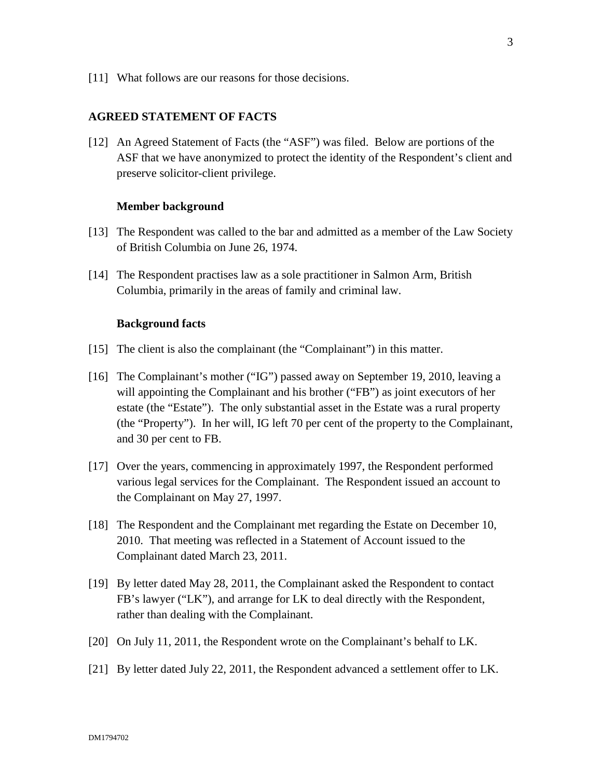[11] What follows are our reasons for those decisions.

#### **AGREED STATEMENT OF FACTS**

[12] An Agreed Statement of Facts (the "ASF") was filed. Below are portions of the ASF that we have anonymized to protect the identity of the Respondent's client and preserve solicitor-client privilege.

#### **Member background**

- [13] The Respondent was called to the bar and admitted as a member of the Law Society of British Columbia on June 26, 1974.
- [14] The Respondent practises law as a sole practitioner in Salmon Arm, British Columbia, primarily in the areas of family and criminal law.

#### **Background facts**

- [15] The client is also the complainant (the "Complainant") in this matter.
- [16] The Complainant's mother ("IG") passed away on September 19, 2010, leaving a will appointing the Complainant and his brother ("FB") as joint executors of her estate (the "Estate"). The only substantial asset in the Estate was a rural property (the "Property"). In her will, IG left 70 per cent of the property to the Complainant, and 30 per cent to FB.
- [17] Over the years, commencing in approximately 1997, the Respondent performed various legal services for the Complainant. The Respondent issued an account to the Complainant on May 27, 1997.
- [18] The Respondent and the Complainant met regarding the Estate on December 10, 2010. That meeting was reflected in a Statement of Account issued to the Complainant dated March 23, 2011.
- [19] By letter dated May 28, 2011, the Complainant asked the Respondent to contact FB's lawyer ("LK"), and arrange for LK to deal directly with the Respondent, rather than dealing with the Complainant.
- [20] On July 11, 2011, the Respondent wrote on the Complainant's behalf to LK.
- [21] By letter dated July 22, 2011, the Respondent advanced a settlement offer to LK.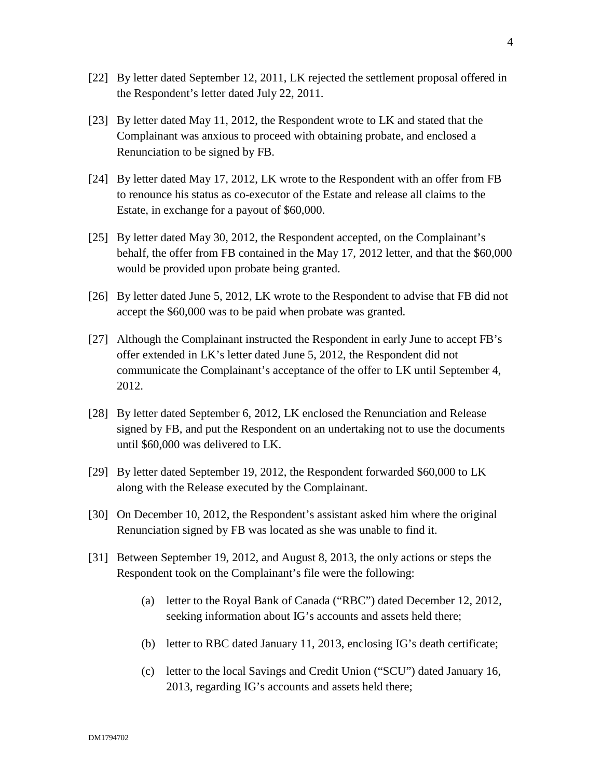- [22] By letter dated September 12, 2011, LK rejected the settlement proposal offered in the Respondent's letter dated July 22, 2011.
- [23] By letter dated May 11, 2012, the Respondent wrote to LK and stated that the Complainant was anxious to proceed with obtaining probate, and enclosed a Renunciation to be signed by FB.
- [24] By letter dated May 17, 2012, LK wrote to the Respondent with an offer from FB to renounce his status as co-executor of the Estate and release all claims to the Estate, in exchange for a payout of \$60,000.
- [25] By letter dated May 30, 2012, the Respondent accepted, on the Complainant's behalf, the offer from FB contained in the May 17, 2012 letter, and that the \$60,000 would be provided upon probate being granted.
- [26] By letter dated June 5, 2012, LK wrote to the Respondent to advise that FB did not accept the \$60,000 was to be paid when probate was granted.
- [27] Although the Complainant instructed the Respondent in early June to accept FB's offer extended in LK's letter dated June 5, 2012, the Respondent did not communicate the Complainant's acceptance of the offer to LK until September 4, 2012.
- [28] By letter dated September 6, 2012, LK enclosed the Renunciation and Release signed by FB, and put the Respondent on an undertaking not to use the documents until \$60,000 was delivered to LK.
- [29] By letter dated September 19, 2012, the Respondent forwarded \$60,000 to LK along with the Release executed by the Complainant.
- [30] On December 10, 2012, the Respondent's assistant asked him where the original Renunciation signed by FB was located as she was unable to find it.
- [31] Between September 19, 2012, and August 8, 2013, the only actions or steps the Respondent took on the Complainant's file were the following:
	- (a) letter to the Royal Bank of Canada ("RBC") dated December 12, 2012, seeking information about IG's accounts and assets held there;
	- (b) letter to RBC dated January 11, 2013, enclosing IG's death certificate;
	- (c) letter to the local Savings and Credit Union ("SCU") dated January 16, 2013, regarding IG's accounts and assets held there;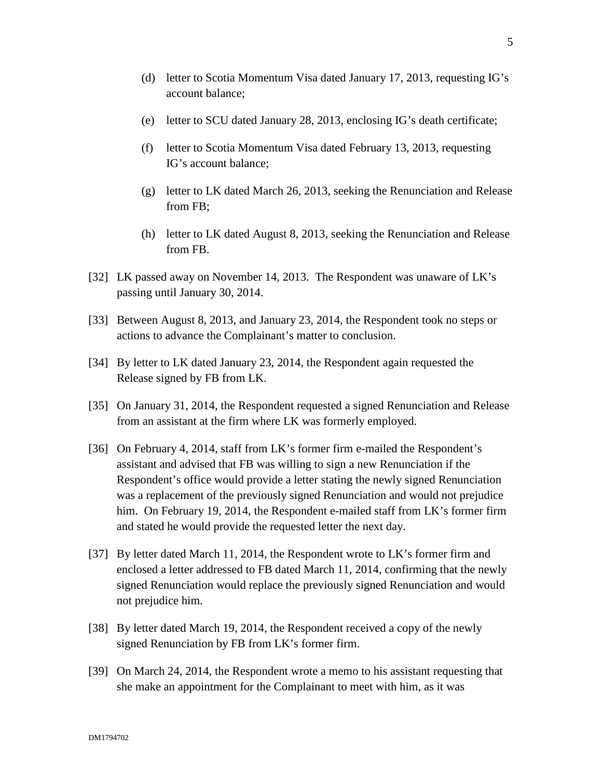- (d) letter to Scotia Momentum Visa dated January 17, 2013, requesting IG's account balance;
- (e) letter to SCU dated January 28, 2013, enclosing IG's death certificate;
- (f) letter to Scotia Momentum Visa dated February 13, 2013, requesting IG's account balance;
- (g) letter to LK dated March 26, 2013, seeking the Renunciation and Release from FB;
- (h) letter to LK dated August 8, 2013, seeking the Renunciation and Release from FB.
- [32] LK passed away on November 14, 2013. The Respondent was unaware of LK's passing until January 30, 2014.
- [33] Between August 8, 2013, and January 23, 2014, the Respondent took no steps or actions to advance the Complainant's matter to conclusion.
- [34] By letter to LK dated January 23, 2014, the Respondent again requested the Release signed by FB from LK.
- [35] On January 31, 2014, the Respondent requested a signed Renunciation and Release from an assistant at the firm where LK was formerly employed.
- [36] On February 4, 2014, staff from LK's former firm e-mailed the Respondent's assistant and advised that FB was willing to sign a new Renunciation if the Respondent's office would provide a letter stating the newly signed Renunciation was a replacement of the previously signed Renunciation and would not prejudice him. On February 19, 2014, the Respondent e-mailed staff from LK's former firm and stated he would provide the requested letter the next day.
- [37] By letter dated March 11, 2014, the Respondent wrote to LK's former firm and enclosed a letter addressed to FB dated March 11, 2014, confirming that the newly signed Renunciation would replace the previously signed Renunciation and would not prejudice him.
- [38] By letter dated March 19, 2014, the Respondent received a copy of the newly signed Renunciation by FB from LK's former firm.
- [39] On March 24, 2014, the Respondent wrote a memo to his assistant requesting that she make an appointment for the Complainant to meet with him, as it was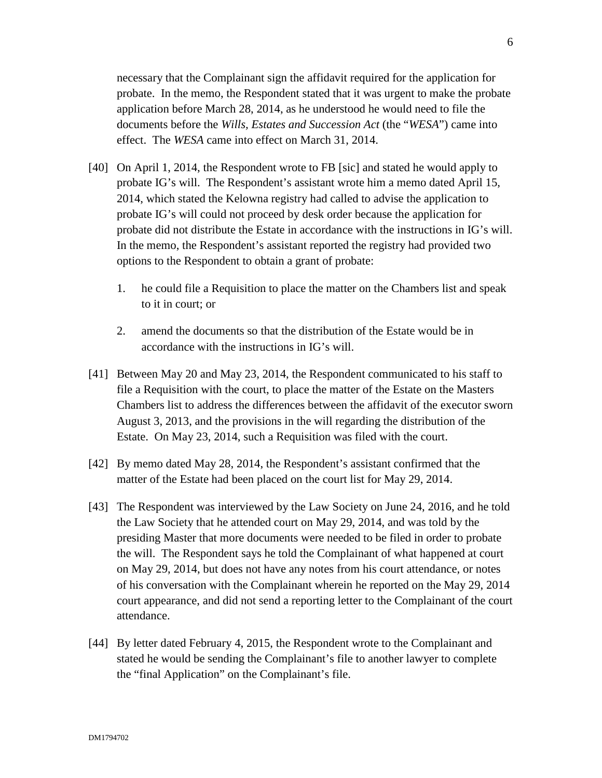necessary that the Complainant sign the affidavit required for the application for probate. In the memo, the Respondent stated that it was urgent to make the probate application before March 28, 2014, as he understood he would need to file the documents before the *Wills, Estates and Succession Act* (the "*WESA*") came into effect. The *WESA* came into effect on March 31, 2014.

- [40] On April 1, 2014, the Respondent wrote to FB [sic] and stated he would apply to probate IG's will. The Respondent's assistant wrote him a memo dated April 15, 2014, which stated the Kelowna registry had called to advise the application to probate IG's will could not proceed by desk order because the application for probate did not distribute the Estate in accordance with the instructions in IG's will. In the memo, the Respondent's assistant reported the registry had provided two options to the Respondent to obtain a grant of probate:
	- 1. he could file a Requisition to place the matter on the Chambers list and speak to it in court; or
	- 2. amend the documents so that the distribution of the Estate would be in accordance with the instructions in IG's will.
- [41] Between May 20 and May 23, 2014, the Respondent communicated to his staff to file a Requisition with the court, to place the matter of the Estate on the Masters Chambers list to address the differences between the affidavit of the executor sworn August 3, 2013, and the provisions in the will regarding the distribution of the Estate. On May 23, 2014, such a Requisition was filed with the court.
- [42] By memo dated May 28, 2014, the Respondent's assistant confirmed that the matter of the Estate had been placed on the court list for May 29, 2014.
- [43] The Respondent was interviewed by the Law Society on June 24, 2016, and he told the Law Society that he attended court on May 29, 2014, and was told by the presiding Master that more documents were needed to be filed in order to probate the will. The Respondent says he told the Complainant of what happened at court on May 29, 2014, but does not have any notes from his court attendance, or notes of his conversation with the Complainant wherein he reported on the May 29, 2014 court appearance, and did not send a reporting letter to the Complainant of the court attendance.
- [44] By letter dated February 4, 2015, the Respondent wrote to the Complainant and stated he would be sending the Complainant's file to another lawyer to complete the "final Application" on the Complainant's file.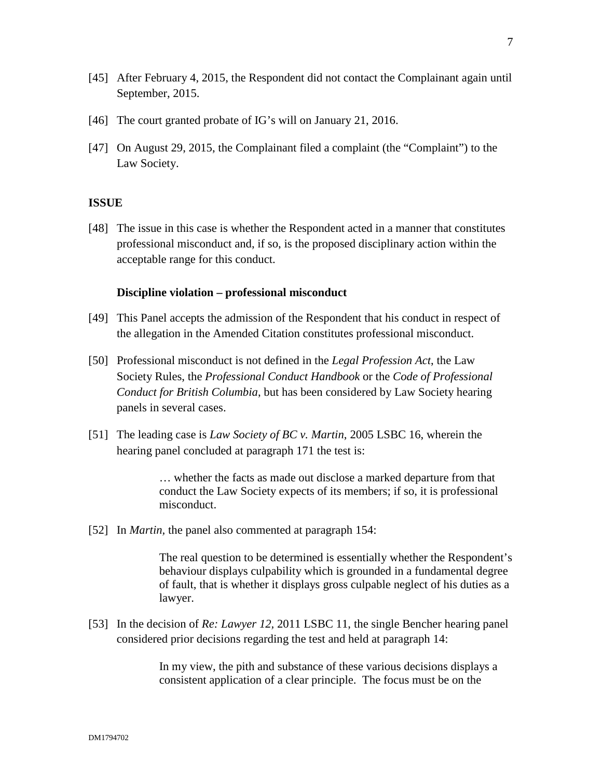- [45] After February 4, 2015, the Respondent did not contact the Complainant again until September, 2015.
- [46] The court granted probate of IG's will on January 21, 2016.
- [47] On August 29, 2015, the Complainant filed a complaint (the "Complaint") to the Law Society.

### **ISSUE**

[48] The issue in this case is whether the Respondent acted in a manner that constitutes professional misconduct and, if so, is the proposed disciplinary action within the acceptable range for this conduct.

#### **Discipline violation – professional misconduct**

- [49] This Panel accepts the admission of the Respondent that his conduct in respect of the allegation in the Amended Citation constitutes professional misconduct.
- [50] Professional misconduct is not defined in the *Legal Profession Act*, the Law Society Rules, the *Professional Conduct Handbook* or the *Code of Professional Conduct for British Columbia*, but has been considered by Law Society hearing panels in several cases.
- [51] The leading case is *Law Society of BC v. Martin*, 2005 LSBC 16, wherein the hearing panel concluded at paragraph 171 the test is:

… whether the facts as made out disclose a marked departure from that conduct the Law Society expects of its members; if so, it is professional misconduct.

[52] In *Martin,* the panel also commented at paragraph 154:

The real question to be determined is essentially whether the Respondent's behaviour displays culpability which is grounded in a fundamental degree of fault, that is whether it displays gross culpable neglect of his duties as a lawyer.

[53] In the decision of *Re: Lawyer 12*, 2011 LSBC 11, the single Bencher hearing panel considered prior decisions regarding the test and held at paragraph 14:

> In my view, the pith and substance of these various decisions displays a consistent application of a clear principle. The focus must be on the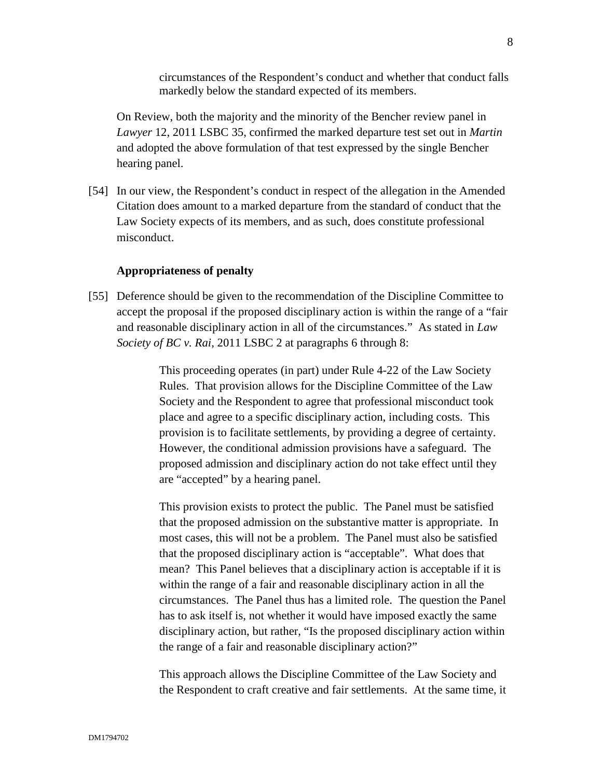circumstances of the Respondent's conduct and whether that conduct falls markedly below the standard expected of its members.

On Review, both the majority and the minority of the Bencher review panel in *Lawyer* 12, 2011 LSBC 35, confirmed the marked departure test set out in *Martin* and adopted the above formulation of that test expressed by the single Bencher hearing panel.

[54] In our view, the Respondent's conduct in respect of the allegation in the Amended Citation does amount to a marked departure from the standard of conduct that the Law Society expects of its members, and as such, does constitute professional misconduct.

## **Appropriateness of penalty**

[55] Deference should be given to the recommendation of the Discipline Committee to accept the proposal if the proposed disciplinary action is within the range of a "fair and reasonable disciplinary action in all of the circumstances." As stated in *Law Society of BC v. Rai*, 2011 LSBC 2 at paragraphs 6 through 8:

> This proceeding operates (in part) under Rule 4-22 of the Law Society Rules. That provision allows for the Discipline Committee of the Law Society and the Respondent to agree that professional misconduct took place and agree to a specific disciplinary action, including costs. This provision is to facilitate settlements, by providing a degree of certainty. However, the conditional admission provisions have a safeguard. The proposed admission and disciplinary action do not take effect until they are "accepted" by a hearing panel.

This provision exists to protect the public. The Panel must be satisfied that the proposed admission on the substantive matter is appropriate. In most cases, this will not be a problem. The Panel must also be satisfied that the proposed disciplinary action is "acceptable". What does that mean? This Panel believes that a disciplinary action is acceptable if it is within the range of a fair and reasonable disciplinary action in all the circumstances. The Panel thus has a limited role. The question the Panel has to ask itself is, not whether it would have imposed exactly the same disciplinary action, but rather, "Is the proposed disciplinary action within the range of a fair and reasonable disciplinary action?"

This approach allows the Discipline Committee of the Law Society and the Respondent to craft creative and fair settlements. At the same time, it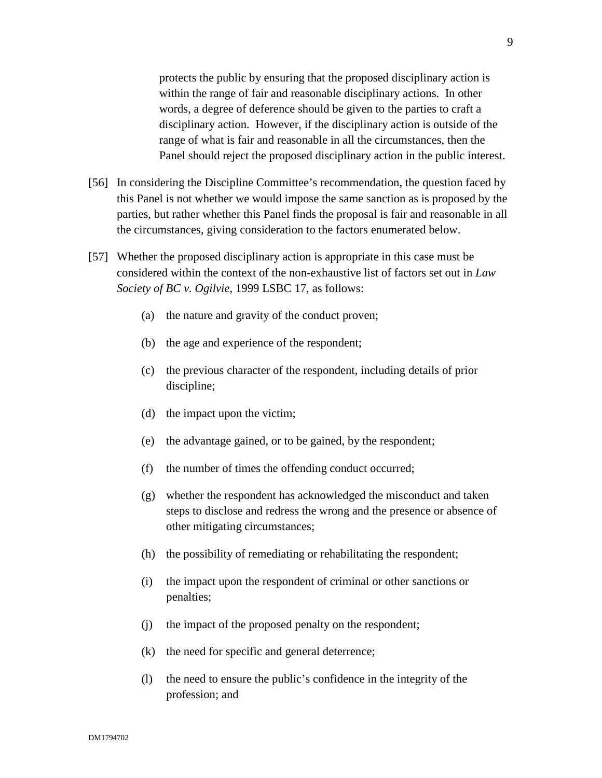protects the public by ensuring that the proposed disciplinary action is within the range of fair and reasonable disciplinary actions. In other words, a degree of deference should be given to the parties to craft a disciplinary action. However, if the disciplinary action is outside of the range of what is fair and reasonable in all the circumstances, then the Panel should reject the proposed disciplinary action in the public interest.

- [56] In considering the Discipline Committee's recommendation, the question faced by this Panel is not whether we would impose the same sanction as is proposed by the parties, but rather whether this Panel finds the proposal is fair and reasonable in all the circumstances, giving consideration to the factors enumerated below.
- [57] Whether the proposed disciplinary action is appropriate in this case must be considered within the context of the non-exhaustive list of factors set out in *Law Society of BC v. Ogilvie*, 1999 LSBC 17, as follows:
	- (a) the nature and gravity of the conduct proven;
	- (b) the age and experience of the respondent;
	- (c) the previous character of the respondent, including details of prior discipline;
	- (d) the impact upon the victim;
	- (e) the advantage gained, or to be gained, by the respondent;
	- (f) the number of times the offending conduct occurred;
	- (g) whether the respondent has acknowledged the misconduct and taken steps to disclose and redress the wrong and the presence or absence of other mitigating circumstances;
	- (h) the possibility of remediating or rehabilitating the respondent;
	- (i) the impact upon the respondent of criminal or other sanctions or penalties;
	- (j) the impact of the proposed penalty on the respondent;
	- (k) the need for specific and general deterrence;
	- (l) the need to ensure the public's confidence in the integrity of the profession; and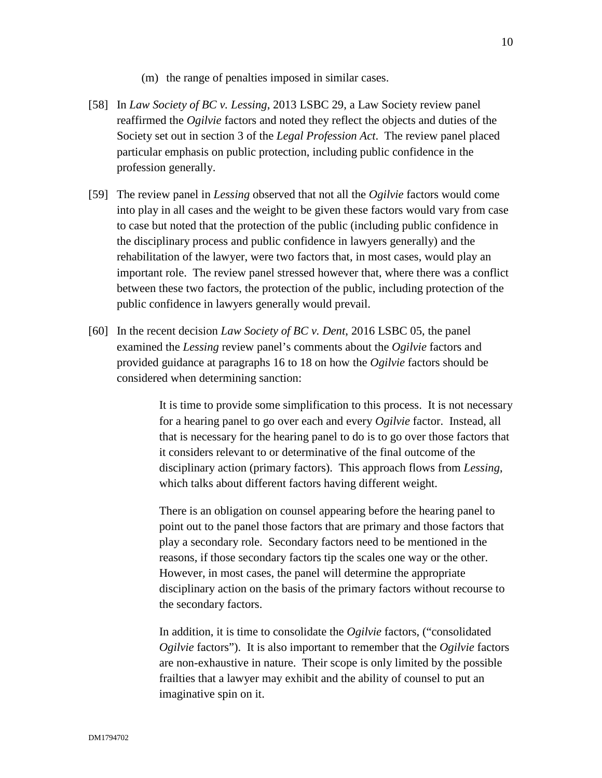- (m) the range of penalties imposed in similar cases.
- [58] In *Law Society of BC v. Lessing*, 2013 LSBC 29, a Law Society review panel reaffirmed the *Ogilvie* factors and noted they reflect the objects and duties of the Society set out in section 3 of the *Legal Profession Act*. The review panel placed particular emphasis on public protection, including public confidence in the profession generally.
- [59] The review panel in *Lessing* observed that not all the *Ogilvie* factors would come into play in all cases and the weight to be given these factors would vary from case to case but noted that the protection of the public (including public confidence in the disciplinary process and public confidence in lawyers generally) and the rehabilitation of the lawyer, were two factors that, in most cases, would play an important role. The review panel stressed however that, where there was a conflict between these two factors, the protection of the public, including protection of the public confidence in lawyers generally would prevail.
- [60] In the recent decision *Law Society of BC v. Dent*, 2016 LSBC 05, the panel examined the *Lessing* review panel's comments about the *Ogilvie* factors and provided guidance at paragraphs 16 to 18 on how the *Ogilvie* factors should be considered when determining sanction:

It is time to provide some simplification to this process. It is not necessary for a hearing panel to go over each and every *Ogilvie* factor. Instead, all that is necessary for the hearing panel to do is to go over those factors that it considers relevant to or determinative of the final outcome of the disciplinary action (primary factors). This approach flows from *Lessing*, which talks about different factors having different weight.

There is an obligation on counsel appearing before the hearing panel to point out to the panel those factors that are primary and those factors that play a secondary role. Secondary factors need to be mentioned in the reasons, if those secondary factors tip the scales one way or the other. However, in most cases, the panel will determine the appropriate disciplinary action on the basis of the primary factors without recourse to the secondary factors.

In addition, it is time to consolidate the *Ogilvie* factors, ("consolidated *Ogilvie* factors"). It is also important to remember that the *Ogilvie* factors are non-exhaustive in nature. Their scope is only limited by the possible frailties that a lawyer may exhibit and the ability of counsel to put an imaginative spin on it.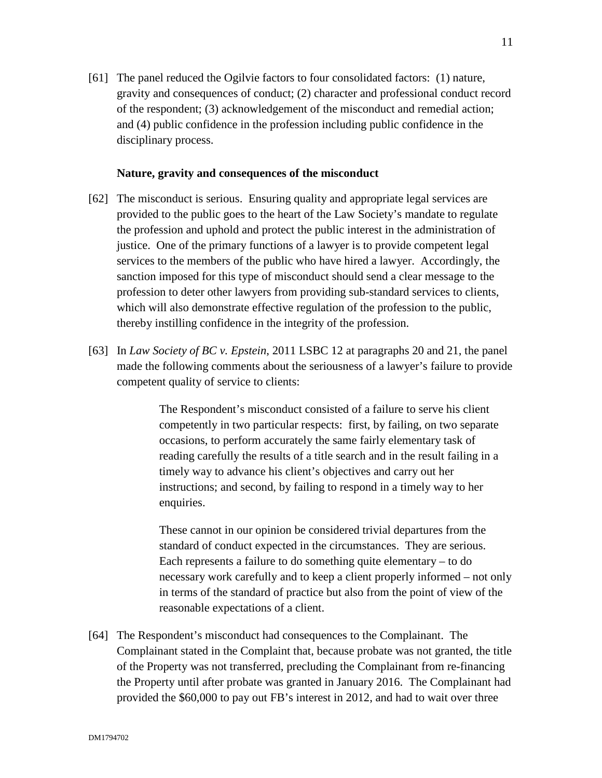[61] The panel reduced the Ogilvie factors to four consolidated factors: (1) nature, gravity and consequences of conduct; (2) character and professional conduct record of the respondent; (3) acknowledgement of the misconduct and remedial action; and (4) public confidence in the profession including public confidence in the disciplinary process.

## **Nature, gravity and consequences of the misconduct**

- [62] The misconduct is serious. Ensuring quality and appropriate legal services are provided to the public goes to the heart of the Law Society's mandate to regulate the profession and uphold and protect the public interest in the administration of justice. One of the primary functions of a lawyer is to provide competent legal services to the members of the public who have hired a lawyer. Accordingly, the sanction imposed for this type of misconduct should send a clear message to the profession to deter other lawyers from providing sub-standard services to clients, which will also demonstrate effective regulation of the profession to the public, thereby instilling confidence in the integrity of the profession.
- [63] In *Law Society of BC v. Epstein*, 2011 LSBC 12 at paragraphs 20 and 21, the panel made the following comments about the seriousness of a lawyer's failure to provide competent quality of service to clients:

The Respondent's misconduct consisted of a failure to serve his client competently in two particular respects: first, by failing, on two separate occasions, to perform accurately the same fairly elementary task of reading carefully the results of a title search and in the result failing in a timely way to advance his client's objectives and carry out her instructions; and second, by failing to respond in a timely way to her enquiries.

These cannot in our opinion be considered trivial departures from the standard of conduct expected in the circumstances. They are serious. Each represents a failure to do something quite elementary – to do necessary work carefully and to keep a client properly informed – not only in terms of the standard of practice but also from the point of view of the reasonable expectations of a client.

[64] The Respondent's misconduct had consequences to the Complainant. The Complainant stated in the Complaint that, because probate was not granted, the title of the Property was not transferred, precluding the Complainant from re-financing the Property until after probate was granted in January 2016. The Complainant had provided the \$60,000 to pay out FB's interest in 2012, and had to wait over three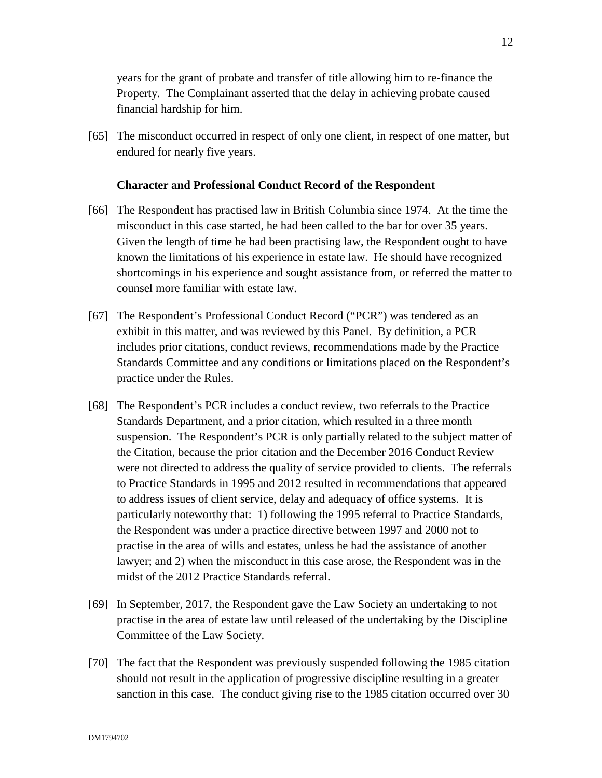years for the grant of probate and transfer of title allowing him to re-finance the Property. The Complainant asserted that the delay in achieving probate caused financial hardship for him.

[65] The misconduct occurred in respect of only one client, in respect of one matter, but endured for nearly five years.

### **Character and Professional Conduct Record of the Respondent**

- [66] The Respondent has practised law in British Columbia since 1974. At the time the misconduct in this case started, he had been called to the bar for over 35 years. Given the length of time he had been practising law, the Respondent ought to have known the limitations of his experience in estate law. He should have recognized shortcomings in his experience and sought assistance from, or referred the matter to counsel more familiar with estate law.
- [67] The Respondent's Professional Conduct Record ("PCR") was tendered as an exhibit in this matter, and was reviewed by this Panel. By definition, a PCR includes prior citations, conduct reviews, recommendations made by the Practice Standards Committee and any conditions or limitations placed on the Respondent's practice under the Rules.
- [68] The Respondent's PCR includes a conduct review, two referrals to the Practice Standards Department, and a prior citation, which resulted in a three month suspension. The Respondent's PCR is only partially related to the subject matter of the Citation, because the prior citation and the December 2016 Conduct Review were not directed to address the quality of service provided to clients. The referrals to Practice Standards in 1995 and 2012 resulted in recommendations that appeared to address issues of client service, delay and adequacy of office systems. It is particularly noteworthy that: 1) following the 1995 referral to Practice Standards, the Respondent was under a practice directive between 1997 and 2000 not to practise in the area of wills and estates, unless he had the assistance of another lawyer; and 2) when the misconduct in this case arose, the Respondent was in the midst of the 2012 Practice Standards referral.
- [69] In September, 2017, the Respondent gave the Law Society an undertaking to not practise in the area of estate law until released of the undertaking by the Discipline Committee of the Law Society.
- [70] The fact that the Respondent was previously suspended following the 1985 citation should not result in the application of progressive discipline resulting in a greater sanction in this case. The conduct giving rise to the 1985 citation occurred over 30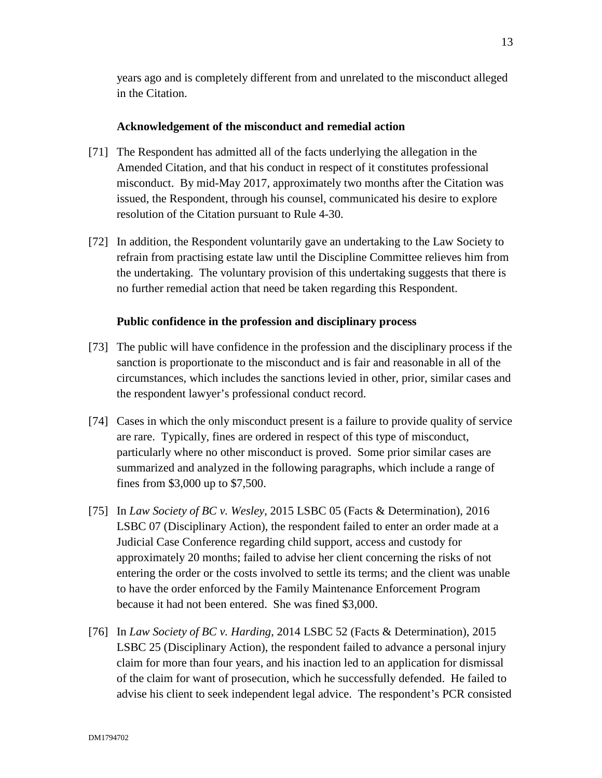years ago and is completely different from and unrelated to the misconduct alleged in the Citation.

## **Acknowledgement of the misconduct and remedial action**

- [71] The Respondent has admitted all of the facts underlying the allegation in the Amended Citation, and that his conduct in respect of it constitutes professional misconduct. By mid-May 2017, approximately two months after the Citation was issued, the Respondent, through his counsel, communicated his desire to explore resolution of the Citation pursuant to Rule 4-30.
- [72] In addition, the Respondent voluntarily gave an undertaking to the Law Society to refrain from practising estate law until the Discipline Committee relieves him from the undertaking. The voluntary provision of this undertaking suggests that there is no further remedial action that need be taken regarding this Respondent.

## **Public confidence in the profession and disciplinary process**

- [73] The public will have confidence in the profession and the disciplinary process if the sanction is proportionate to the misconduct and is fair and reasonable in all of the circumstances, which includes the sanctions levied in other, prior, similar cases and the respondent lawyer's professional conduct record.
- [74] Cases in which the only misconduct present is a failure to provide quality of service are rare. Typically, fines are ordered in respect of this type of misconduct, particularly where no other misconduct is proved. Some prior similar cases are summarized and analyzed in the following paragraphs, which include a range of fines from \$3,000 up to \$7,500.
- [75] In *Law Society of BC v. Wesley*, 2015 LSBC 05 (Facts & Determination), 2016 LSBC 07 (Disciplinary Action), the respondent failed to enter an order made at a Judicial Case Conference regarding child support, access and custody for approximately 20 months; failed to advise her client concerning the risks of not entering the order or the costs involved to settle its terms; and the client was unable to have the order enforced by the Family Maintenance Enforcement Program because it had not been entered. She was fined \$3,000.
- [76] In *Law Society of BC v. Harding*, 2014 LSBC 52 (Facts & Determination), 2015 LSBC 25 (Disciplinary Action), the respondent failed to advance a personal injury claim for more than four years, and his inaction led to an application for dismissal of the claim for want of prosecution, which he successfully defended. He failed to advise his client to seek independent legal advice. The respondent's PCR consisted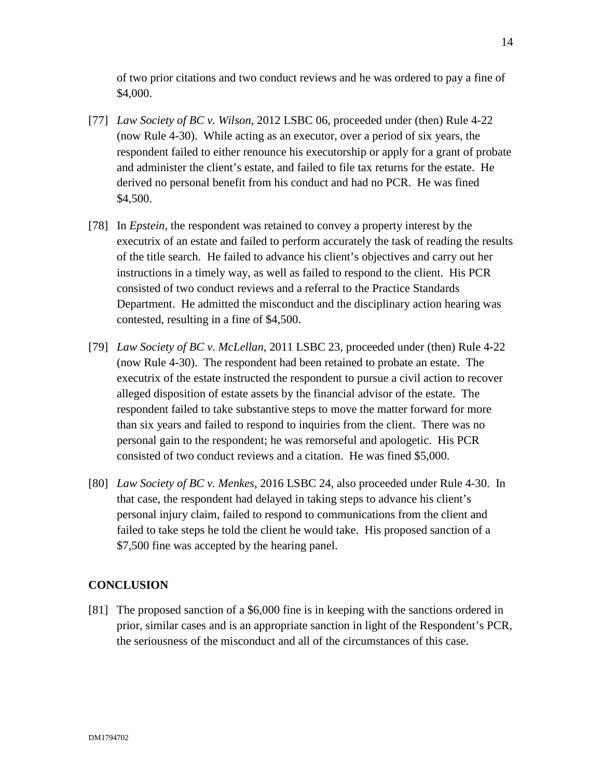of two prior citations and two conduct reviews and he was ordered to pay a fine of \$4,000.

- [77] *Law Society of BC v. Wilson*, 2012 LSBC 06, proceeded under (then) Rule 4-22 (now Rule 4-30). While acting as an executor, over a period of six years, the respondent failed to either renounce his executorship or apply for a grant of probate and administer the client's estate, and failed to file tax returns for the estate. He derived no personal benefit from his conduct and had no PCR. He was fined \$4,500.
- [78] In *Epstein*, the respondent was retained to convey a property interest by the executrix of an estate and failed to perform accurately the task of reading the results of the title search. He failed to advance his client's objectives and carry out her instructions in a timely way, as well as failed to respond to the client. His PCR consisted of two conduct reviews and a referral to the Practice Standards Department. He admitted the misconduct and the disciplinary action hearing was contested, resulting in a fine of \$4,500.
- [79] *Law Society of BC v. McLellan,* 2011 LSBC 23, proceeded under (then) Rule 4-22 (now Rule 4-30). The respondent had been retained to probate an estate. The executrix of the estate instructed the respondent to pursue a civil action to recover alleged disposition of estate assets by the financial advisor of the estate. The respondent failed to take substantive steps to move the matter forward for more than six years and failed to respond to inquiries from the client. There was no personal gain to the respondent; he was remorseful and apologetic. His PCR consisted of two conduct reviews and a citation. He was fined \$5,000.
- [80] *Law Society of BC v. Menkes*, 2016 LSBC 24, also proceeded under Rule 4-30. In that case, the respondent had delayed in taking steps to advance his client's personal injury claim, failed to respond to communications from the client and failed to take steps he told the client he would take. His proposed sanction of a \$7,500 fine was accepted by the hearing panel.

# **CONCLUSION**

[81] The proposed sanction of a \$6,000 fine is in keeping with the sanctions ordered in prior, similar cases and is an appropriate sanction in light of the Respondent's PCR, the seriousness of the misconduct and all of the circumstances of this case.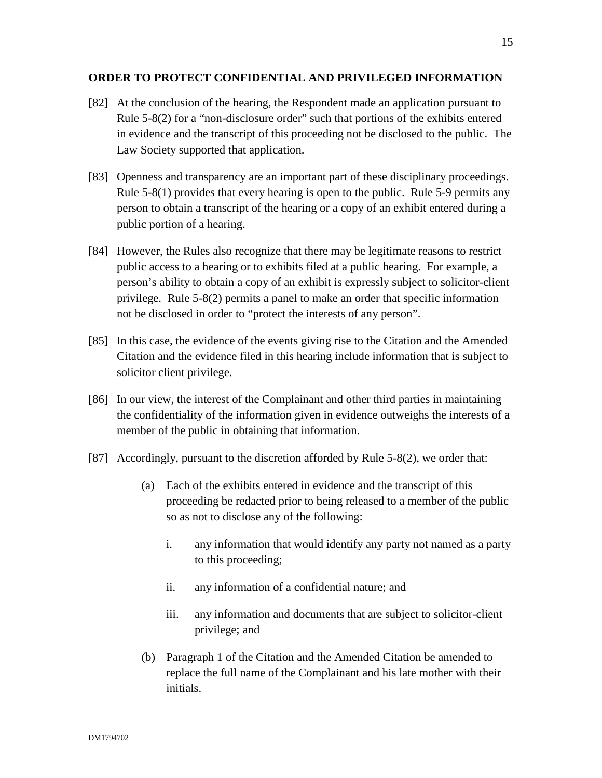### **ORDER TO PROTECT CONFIDENTIAL AND PRIVILEGED INFORMATION**

- [82] At the conclusion of the hearing, the Respondent made an application pursuant to Rule 5-8(2) for a "non-disclosure order" such that portions of the exhibits entered in evidence and the transcript of this proceeding not be disclosed to the public. The Law Society supported that application.
- [83] Openness and transparency are an important part of these disciplinary proceedings. Rule 5-8(1) provides that every hearing is open to the public. Rule 5-9 permits any person to obtain a transcript of the hearing or a copy of an exhibit entered during a public portion of a hearing.
- [84] However, the Rules also recognize that there may be legitimate reasons to restrict public access to a hearing or to exhibits filed at a public hearing. For example, a person's ability to obtain a copy of an exhibit is expressly subject to solicitor-client privilege. Rule 5-8(2) permits a panel to make an order that specific information not be disclosed in order to "protect the interests of any person".
- [85] In this case, the evidence of the events giving rise to the Citation and the Amended Citation and the evidence filed in this hearing include information that is subject to solicitor client privilege.
- [86] In our view, the interest of the Complainant and other third parties in maintaining the confidentiality of the information given in evidence outweighs the interests of a member of the public in obtaining that information.
- [87] Accordingly, pursuant to the discretion afforded by Rule 5-8(2), we order that:
	- (a) Each of the exhibits entered in evidence and the transcript of this proceeding be redacted prior to being released to a member of the public so as not to disclose any of the following:
		- i. any information that would identify any party not named as a party to this proceeding;
		- ii. any information of a confidential nature; and
		- iii. any information and documents that are subject to solicitor-client privilege; and
	- (b) Paragraph 1 of the Citation and the Amended Citation be amended to replace the full name of the Complainant and his late mother with their initials.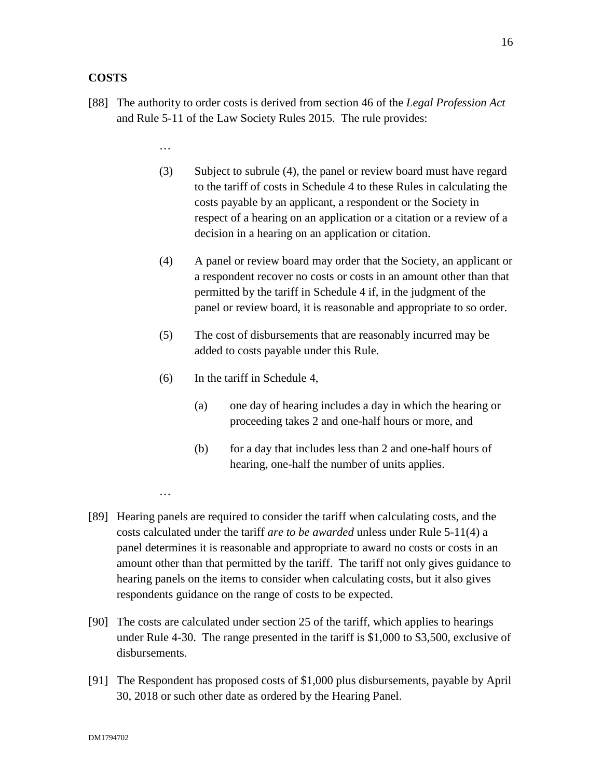# **COSTS**

- [88] The authority to order costs is derived from section 46 of the *Legal Profession Act* and Rule 5-11 of the Law Society Rules 2015. The rule provides:
	- …

…

- (3) Subject to subrule (4), the panel or review board must have regard to the tariff of costs in Schedule 4 to these Rules in calculating the costs payable by an applicant, a respondent or the Society in respect of a hearing on an application or a citation or a review of a decision in a hearing on an application or citation.
- (4) A panel or review board may order that the Society, an applicant or a respondent recover no costs or costs in an amount other than that permitted by the tariff in Schedule 4 if, in the judgment of the panel or review board, it is reasonable and appropriate to so order.
- (5) The cost of disbursements that are reasonably incurred may be added to costs payable under this Rule.
- (6) In the tariff in Schedule 4,
	- (a) one day of hearing includes a day in which the hearing or proceeding takes 2 and one-half hours or more, and
	- (b) for a day that includes less than 2 and one-half hours of hearing, one-half the number of units applies.
- [89] Hearing panels are required to consider the tariff when calculating costs, and the costs calculated under the tariff *are to be awarded* unless under Rule 5-11(4) a panel determines it is reasonable and appropriate to award no costs or costs in an amount other than that permitted by the tariff. The tariff not only gives guidance to hearing panels on the items to consider when calculating costs, but it also gives respondents guidance on the range of costs to be expected.
- [90] The costs are calculated under section 25 of the tariff, which applies to hearings under Rule 4-30. The range presented in the tariff is \$1,000 to \$3,500, exclusive of disbursements.
- [91] The Respondent has proposed costs of \$1,000 plus disbursements, payable by April 30, 2018 or such other date as ordered by the Hearing Panel.